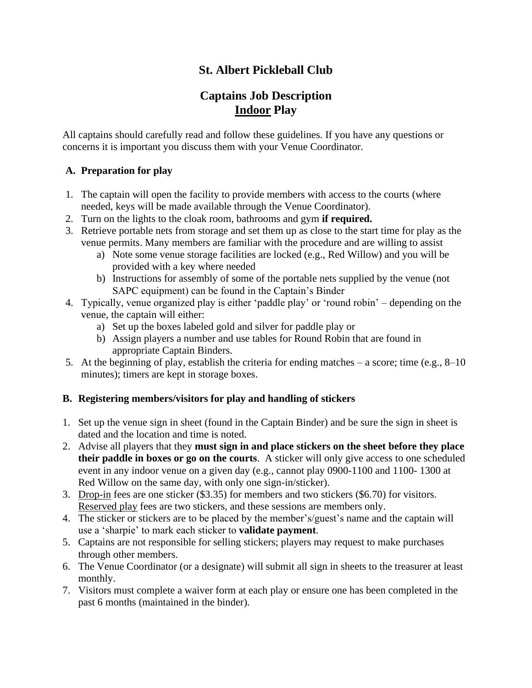## **St. Albert Pickleball Club**

# **Captains Job Description Indoor Play**

All captains should carefully read and follow these guidelines. If you have any questions or concerns it is important you discuss them with your Venue Coordinator.

#### **A. Preparation for play**

- 1. The captain will open the facility to provide members with access to the courts (where needed, keys will be made available through the Venue Coordinator).
- 2. Turn on the lights to the cloak room, bathrooms and gym **if required.**
- 3. Retrieve portable nets from storage and set them up as close to the start time for play as the venue permits. Many members are familiar with the procedure and are willing to assist
	- a) Note some venue storage facilities are locked (e.g., Red Willow) and you will be provided with a key where needed
	- b) Instructions for assembly of some of the portable nets supplied by the venue (not SAPC equipment) can be found in the Captain's Binder
- 4. Typically, venue organized play is either 'paddle play' or 'round robin' depending on the venue, the captain will either:
	- a) Set up the boxes labeled gold and silver for paddle play or
	- b) Assign players a number and use tables for Round Robin that are found in appropriate Captain Binders.
- 5. At the beginning of play, establish the criteria for ending matches a score; time (e.g., 8–10 minutes); timers are kept in storage boxes.

#### **B. Registering members/visitors for play and handling of stickers**

- 1. Set up the venue sign in sheet (found in the Captain Binder) and be sure the sign in sheet is dated and the location and time is noted.
- 2. Advise all players that they **must sign in and place stickers on the sheet before they place their paddle in boxes or go on the courts**. A sticker will only give access to one scheduled event in any indoor venue on a given day (e.g., cannot play 0900-1100 and 1100- 1300 at Red Willow on the same day, with only one sign-in/sticker).
- 3. Drop-in fees are one sticker (\$3.35) for members and two stickers (\$6.70) for visitors. Reserved play fees are two stickers, and these sessions are members only.
- 4. The sticker or stickers are to be placed by the member's/guest's name and the captain will use a 'sharpie' to mark each sticker to **validate payment**.
- 5. Captains are not responsible for selling stickers; players may request to make purchases through other members.
- 6. The Venue Coordinator (or a designate) will submit all sign in sheets to the treasurer at least monthly.
- 7. Visitors must complete a waiver form at each play or ensure one has been completed in the past 6 months (maintained in the binder).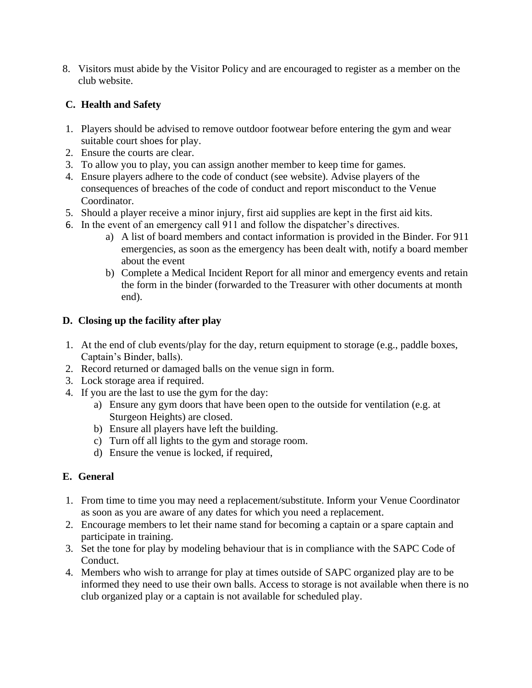8. Visitors must abide by the Visitor Policy and are encouraged to register as a member on the club website.

### **C. Health and Safety**

- 1. Players should be advised to remove outdoor footwear before entering the gym and wear suitable court shoes for play.
- 2. Ensure the courts are clear.
- 3. To allow you to play, you can assign another member to keep time for games.
- 4. Ensure players adhere to the code of conduct (see website). Advise players of the consequences of breaches of the code of conduct and report misconduct to the Venue Coordinator.
- 5. Should a player receive a minor injury, first aid supplies are kept in the first aid kits.
- 6. In the event of an emergency call 911 and follow the dispatcher's directives.
	- a) A list of board members and contact information is provided in the Binder. For 911 emergencies, as soon as the emergency has been dealt with, notify a board member about the event
	- b) Complete a Medical Incident Report for all minor and emergency events and retain the form in the binder (forwarded to the Treasurer with other documents at month end).

#### **D. Closing up the facility after play**

- 1. At the end of club events/play for the day, return equipment to storage (e.g., paddle boxes, Captain's Binder, balls).
- 2. Record returned or damaged balls on the venue sign in form.
- 3. Lock storage area if required.
- 4. If you are the last to use the gym for the day:
	- a) Ensure any gym doors that have been open to the outside for ventilation (e.g. at Sturgeon Heights) are closed.
	- b) Ensure all players have left the building.
	- c) Turn off all lights to the gym and storage room.
	- d) Ensure the venue is locked, if required,

## **E. General**

- 1. From time to time you may need a replacement/substitute. Inform your Venue Coordinator as soon as you are aware of any dates for which you need a replacement.
- 2. Encourage members to let their name stand for becoming a captain or a spare captain and participate in training.
- 3. Set the tone for play by modeling behaviour that is in compliance with the SAPC Code of Conduct.
- 4. Members who wish to arrange for play at times outside of SAPC organized play are to be informed they need to use their own balls. Access to storage is not available when there is no club organized play or a captain is not available for scheduled play.